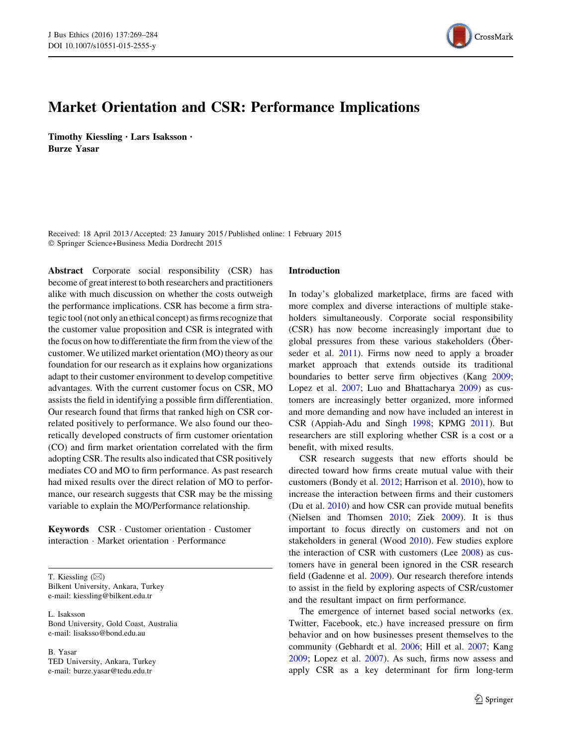

# Market Orientation and CSR: Performance Implications

Timothy Kiessling • Lars Isaksson • Burze Yasar

Received: 18 April 2013 / Accepted: 23 January 2015 / Published online: 1 February 2015 - Springer Science+Business Media Dordrecht 2015

Abstract Corporate social responsibility (CSR) has become of great interest to both researchers and practitioners alike with much discussion on whether the costs outweigh the performance implications. CSR has become a firm strategic tool (not only an ethical concept) as firms recognize that the customer value proposition and CSR is integrated with the focus on how to differentiate the firm from the view of the customer. We utilized market orientation (MO) theory as our foundation for our research as it explains how organizations adapt to their customer environment to develop competitive advantages. With the current customer focus on CSR, MO assists the field in identifying a possible firm differentiation. Our research found that firms that ranked high on CSR correlated positively to performance. We also found our theoretically developed constructs of firm customer orientation (CO) and firm market orientation correlated with the firm adopting CSR. The results also indicated that CSR positively mediates CO and MO to firm performance. As past research had mixed results over the direct relation of MO to performance, our research suggests that CSR may be the missing variable to explain the MO/Performance relationship.

Keywords CSR - Customer orientation - Customer interaction - Market orientation - Performance

T. Kiessling  $(\boxtimes)$ Bilkent University, Ankara, Turkey e-mail: kiessling@bilkent.edu.tr

L. Isaksson Bond University, Gold Coast, Australia e-mail: lisaksso@bond.edu.au

B. Yasar TED University, Ankara, Turkey e-mail: burze.yasar@tedu.edu.tr

#### Introduction

In today's globalized marketplace, firms are faced with more complex and diverse interactions of multiple stakeholders simultaneously. Corporate social responsibility (CSR) has now become increasingly important due to global pressures from these various stakeholders (Oberseder et al. [2011](#page-15-0)). Firms now need to apply a broader market approach that extends outside its traditional boundaries to better serve firm objectives (Kang [2009](#page-14-0); Lopez et al. [2007](#page-14-0); Luo and Bhattacharya [2009\)](#page-14-0) as customers are increasingly better organized, more informed and more demanding and now have included an interest in CSR (Appiah-Adu and Singh [1998;](#page-13-0) KPMG [2011\)](#page-14-0). But researchers are still exploring whether CSR is a cost or a benefit, with mixed results.

CSR research suggests that new efforts should be directed toward how firms create mutual value with their customers (Bondy et al. [2012;](#page-13-0) Harrison et al. [2010](#page-14-0)), how to increase the interaction between firms and their customers (Du et al. [2010](#page-13-0)) and how CSR can provide mutual benefits (Nielsen and Thomsen [2010;](#page-15-0) Ziek [2009\)](#page-15-0). It is thus important to focus directly on customers and not on stakeholders in general (Wood [2010\)](#page-15-0). Few studies explore the interaction of CSR with customers (Lee [2008](#page-14-0)) as customers have in general been ignored in the CSR research field (Gadenne et al. [2009](#page-13-0)). Our research therefore intends to assist in the field by exploring aspects of CSR/customer and the resultant impact on firm performance.

The emergence of internet based social networks (ex. Twitter, Facebook, etc.) have increased pressure on firm behavior and on how businesses present themselves to the community (Gebhardt et al. [2006;](#page-13-0) Hill et al. [2007;](#page-14-0) Kang [2009](#page-14-0); Lopez et al. [2007\)](#page-14-0). As such, firms now assess and apply CSR as a key determinant for firm long-term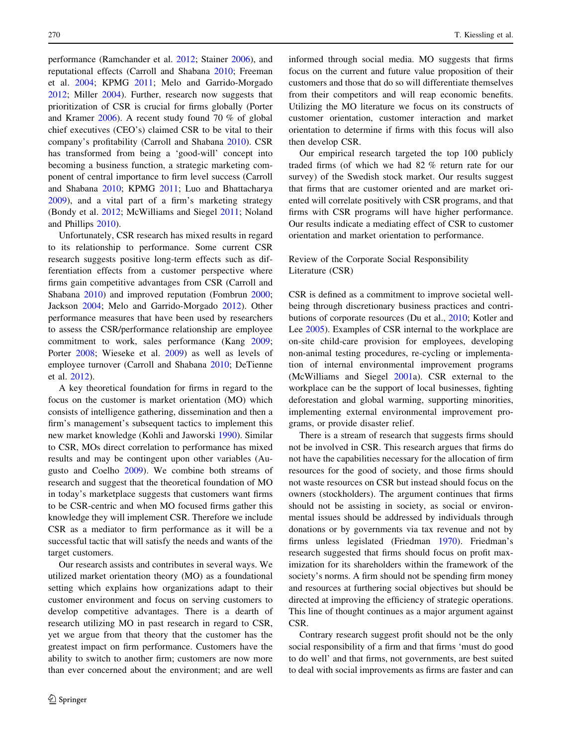performance (Ramchander et al. [2012;](#page-15-0) Stainer [2006](#page-15-0)), and reputational effects (Carroll and Shabana [2010](#page-13-0); Freeman et al. [2004;](#page-13-0) KPMG [2011](#page-14-0); Melo and Garrido-Morgado [2012;](#page-14-0) Miller [2004](#page-14-0)). Further, research now suggests that prioritization of CSR is crucial for firms globally (Porter and Kramer [2006\)](#page-15-0). A recent study found 70 % of global chief executives (CEO's) claimed CSR to be vital to their company's profitability (Carroll and Shabana [2010\)](#page-13-0). CSR has transformed from being a 'good-will' concept into becoming a business function, a strategic marketing component of central importance to firm level success (Carroll and Shabana [2010](#page-13-0); KPMG [2011](#page-14-0); Luo and Bhattacharya [2009\)](#page-14-0), and a vital part of a firm's marketing strategy (Bondy et al. [2012;](#page-13-0) McWilliams and Siegel [2011;](#page-14-0) Noland and Phillips [2010\)](#page-15-0).

Unfortunately, CSR research has mixed results in regard to its relationship to performance. Some current CSR research suggests positive long-term effects such as differentiation effects from a customer perspective where firms gain competitive advantages from CSR (Carroll and Shabana [2010](#page-13-0)) and improved reputation (Fombrun [2000](#page-13-0); Jackson [2004](#page-14-0); Melo and Garrido-Morgado [2012\)](#page-14-0). Other performance measures that have been used by researchers to assess the CSR/performance relationship are employee commitment to work, sales performance (Kang [2009](#page-14-0); Porter [2008](#page-15-0); Wieseke et al. [2009\)](#page-15-0) as well as levels of employee turnover (Carroll and Shabana [2010;](#page-13-0) DeTienne et al. [2012\)](#page-13-0).

A key theoretical foundation for firms in regard to the focus on the customer is market orientation (MO) which consists of intelligence gathering, dissemination and then a firm's management's subsequent tactics to implement this new market knowledge (Kohli and Jaworski [1990](#page-14-0)). Similar to CSR, MOs direct correlation to performance has mixed results and may be contingent upon other variables (Augusto and Coelho [2009\)](#page-13-0). We combine both streams of research and suggest that the theoretical foundation of MO in today's marketplace suggests that customers want firms to be CSR-centric and when MO focused firms gather this knowledge they will implement CSR. Therefore we include CSR as a mediator to firm performance as it will be a successful tactic that will satisfy the needs and wants of the target customers.

Our research assists and contributes in several ways. We utilized market orientation theory (MO) as a foundational setting which explains how organizations adapt to their customer environment and focus on serving customers to develop competitive advantages. There is a dearth of research utilizing MO in past research in regard to CSR, yet we argue from that theory that the customer has the greatest impact on firm performance. Customers have the ability to switch to another firm; customers are now more than ever concerned about the environment; and are well informed through social media. MO suggests that firms focus on the current and future value proposition of their customers and those that do so will differentiate themselves from their competitors and will reap economic benefits. Utilizing the MO literature we focus on its constructs of customer orientation, customer interaction and market orientation to determine if firms with this focus will also then develop CSR.

Our empirical research targeted the top 100 publicly traded firms (of which we had 82 % return rate for our survey) of the Swedish stock market. Our results suggest that firms that are customer oriented and are market oriented will correlate positively with CSR programs, and that firms with CSR programs will have higher performance. Our results indicate a mediating effect of CSR to customer orientation and market orientation to performance.

# Review of the Corporate Social Responsibility Literature (CSR)

CSR is defined as a commitment to improve societal wellbeing through discretionary business practices and contributions of corporate resources (Du et al., [2010](#page-13-0); Kotler and Lee [2005](#page-14-0)). Examples of CSR internal to the workplace are on-site child-care provision for employees, developing non-animal testing procedures, re-cycling or implementation of internal environmental improvement programs (McWilliams and Siegel [2001a](#page-14-0)). CSR external to the workplace can be the support of local businesses, fighting deforestation and global warming, supporting minorities, implementing external environmental improvement programs, or provide disaster relief.

There is a stream of research that suggests firms should not be involved in CSR. This research argues that firms do not have the capabilities necessary for the allocation of firm resources for the good of society, and those firms should not waste resources on CSR but instead should focus on the owners (stockholders). The argument continues that firms should not be assisting in society, as social or environmental issues should be addressed by individuals through donations or by governments via tax revenue and not by firms unless legislated (Friedman [1970\)](#page-13-0). Friedman's research suggested that firms should focus on profit maximization for its shareholders within the framework of the society's norms. A firm should not be spending firm money and resources at furthering social objectives but should be directed at improving the efficiency of strategic operations. This line of thought continues as a major argument against CSR.

Contrary research suggest profit should not be the only social responsibility of a firm and that firms 'must do good to do well' and that firms, not governments, are best suited to deal with social improvements as firms are faster and can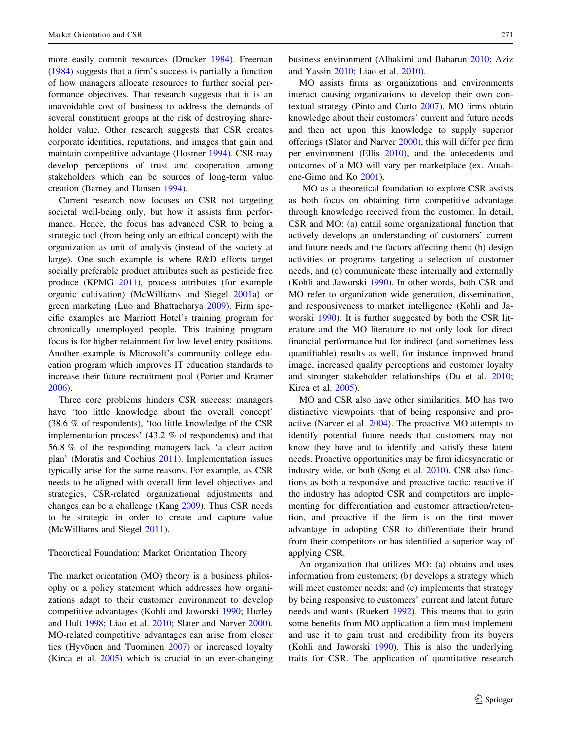more easily commit resources (Drucker [1984](#page-13-0)). Freeman [\(1984](#page-13-0)) suggests that a firm's success is partially a function of how managers allocate resources to further social performance objectives. That research suggests that it is an unavoidable cost of business to address the demands of several constituent groups at the risk of destroying shareholder value. Other research suggests that CSR creates corporate identities, reputations, and images that gain and maintain competitive advantage (Hosmer [1994](#page-14-0)). CSR may develop perceptions of trust and cooperation among stakeholders which can be sources of long-term value creation (Barney and Hansen [1994](#page-13-0)).

Current research now focuses on CSR not targeting societal well-being only, but how it assists firm performance. Hence, the focus has advanced CSR to being a strategic tool (from being only an ethical concept) with the organization as unit of analysis (instead of the society at large). One such example is where R&D efforts target socially preferable product attributes such as pesticide free produce (KPMG [2011\)](#page-14-0), process attributes (for example organic cultivation) (McWilliams and Siegel [2001a](#page-14-0)) or green marketing (Luo and Bhattacharya [2009\)](#page-14-0). Firm specific examples are Marriott Hotel's training program for chronically unemployed people. This training program focus is for higher retainment for low level entry positions. Another example is Microsoft's community college education program which improves IT education standards to increase their future recruitment pool (Porter and Kramer [2006\)](#page-15-0).

Three core problems hinders CSR success: managers have 'too little knowledge about the overall concept' (38.6 % of respondents), 'too little knowledge of the CSR implementation process' (43.2 % of respondents) and that 56.8 % of the responding managers lack 'a clear action plan' (Moratis and Cochius [2011](#page-14-0)). Implementation issues typically arise for the same reasons. For example, as CSR needs to be aligned with overall firm level objectives and strategies, CSR-related organizational adjustments and changes can be a challenge (Kang [2009\)](#page-14-0). Thus CSR needs to be strategic in order to create and capture value (McWilliams and Siegel [2011\)](#page-14-0).

#### Theoretical Foundation: Market Orientation Theory

The market orientation (MO) theory is a business philosophy or a policy statement which addresses how organizations adapt to their customer environment to develop competitive advantages (Kohli and Jaworski [1990](#page-14-0); Hurley and Hult [1998;](#page-14-0) Liao et al. [2010;](#page-14-0) Slater and Narver [2000](#page-15-0)). MO-related competitive advantages can arise from closer ties (Hyvönen and Tuominen [2007](#page-14-0)) or increased loyalty (Kirca et al. [2005\)](#page-14-0) which is crucial in an ever-changing

business environment (Alhakimi and Baharun [2010;](#page-13-0) Aziz and Yassin [2010](#page-13-0); Liao et al. [2010\)](#page-14-0).

MO assists firms as organizations and environments interact causing organizations to develop their own contextual strategy (Pinto and Curto [2007\)](#page-15-0). MO firms obtain knowledge about their customers' current and future needs and then act upon this knowledge to supply superior offerings (Slator and Narver [2000\)](#page-15-0), this will differ per firm per environment (Ellis [2010](#page-13-0)), and the antecedents and outcomes of a MO will vary per marketplace (ex. Atuahene-Gime and Ko [2001](#page-13-0)).

MO as a theoretical foundation to explore CSR assists as both focus on obtaining firm competitive advantage through knowledge received from the customer. In detail, CSR and MO: (a) entail some organizational function that actively develops an understanding of customers' current and future needs and the factors affecting them; (b) design activities or programs targeting a selection of customer needs, and (c) communicate these internally and externally (Kohli and Jaworski [1990\)](#page-14-0). In other words, both CSR and MO refer to organization wide generation, dissemination, and responsiveness to market intelligence (Kohli and Jaworski [1990\)](#page-14-0). It is further suggested by both the CSR literature and the MO literature to not only look for direct financial performance but for indirect (and sometimes less quantifiable) results as well, for instance improved brand image, increased quality perceptions and customer loyalty and stronger stakeholder relationships (Du et al. [2010](#page-13-0); Kirca et al. [2005](#page-14-0)).

MO and CSR also have other similarities. MO has two distinctive viewpoints, that of being responsive and proactive (Narver et al. [2004](#page-15-0)). The proactive MO attempts to identify potential future needs that customers may not know they have and to identify and satisfy these latent needs. Proactive opportunities may be firm idiosyncratic or industry wide, or both (Song et al. [2010\)](#page-15-0). CSR also functions as both a responsive and proactive tactic: reactive if the industry has adopted CSR and competitors are implementing for differentiation and customer attraction/retention, and proactive if the firm is on the first mover advantage in adopting CSR to differentiate their brand from their competitors or has identified a superior way of applying CSR.

An organization that utilizes MO: (a) obtains and uses information from customers; (b) develops a strategy which will meet customer needs; and (c) implements that strategy by being responsive to customers' current and latent future needs and wants (Ruekert [1992](#page-15-0)). This means that to gain some benefits from MO application a firm must implement and use it to gain trust and credibility from its buyers (Kohli and Jaworski [1990](#page-14-0)). This is also the underlying traits for CSR. The application of quantitative research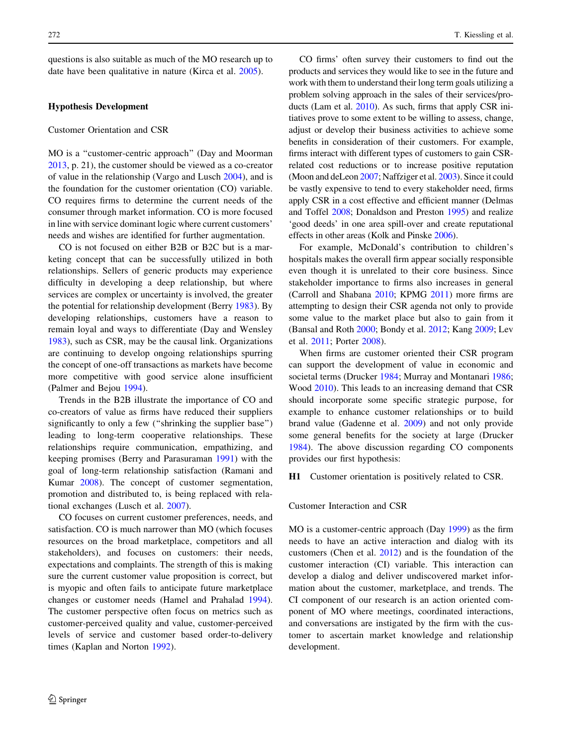questions is also suitable as much of the MO research up to date have been qualitative in nature (Kirca et al. [2005](#page-14-0)).

# Hypothesis Development

# Customer Orientation and CSR

MO is a ''customer-centric approach'' (Day and Moorman [2013,](#page-13-0) p. 21), the customer should be viewed as a co-creator of value in the relationship (Vargo and Lusch [2004\)](#page-15-0), and is the foundation for the customer orientation (CO) variable. CO requires firms to determine the current needs of the consumer through market information. CO is more focused in line with service dominant logic where current customers' needs and wishes are identified for further augmentation.

CO is not focused on either B2B or B2C but is a marketing concept that can be successfully utilized in both relationships. Sellers of generic products may experience difficulty in developing a deep relationship, but where services are complex or uncertainty is involved, the greater the potential for relationship development (Berry [1983](#page-13-0)). By developing relationships, customers have a reason to remain loyal and ways to differentiate (Day and Wensley [1983\)](#page-13-0), such as CSR, may be the causal link. Organizations are continuing to develop ongoing relationships spurring the concept of one-off transactions as markets have become more competitive with good service alone insufficient (Palmer and Bejou [1994](#page-15-0)).

Trends in the B2B illustrate the importance of CO and co-creators of value as firms have reduced their suppliers significantly to only a few ("shrinking the supplier base") leading to long-term cooperative relationships. These relationships require communication, empathizing, and keeping promises (Berry and Parasuraman [1991\)](#page-13-0) with the goal of long-term relationship satisfaction (Ramani and Kumar [2008\)](#page-15-0). The concept of customer segmentation, promotion and distributed to, is being replaced with relational exchanges (Lusch et al. [2007\)](#page-14-0).

CO focuses on current customer preferences, needs, and satisfaction. CO is much narrower than MO (which focuses resources on the broad marketplace, competitors and all stakeholders), and focuses on customers: their needs, expectations and complaints. The strength of this is making sure the current customer value proposition is correct, but is myopic and often fails to anticipate future marketplace changes or customer needs (Hamel and Prahalad [1994](#page-13-0)). The customer perspective often focus on metrics such as customer-perceived quality and value, customer-perceived levels of service and customer based order-to-delivery times (Kaplan and Norton [1992\)](#page-14-0).

CO firms' often survey their customers to find out the products and services they would like to see in the future and work with them to understand their long term goals utilizing a problem solving approach in the sales of their services/products (Lam et al. [2010\)](#page-14-0). As such, firms that apply CSR initiatives prove to some extent to be willing to assess, change, adjust or develop their business activities to achieve some benefits in consideration of their customers. For example, firms interact with different types of customers to gain CSRrelated cost reductions or to increase positive reputation (Moon and deLeon [2007](#page-14-0); Naffziger et al. [2003](#page-15-0)). Since it could be vastly expensive to tend to every stakeholder need, firms apply CSR in a cost effective and efficient manner (Delmas and Toffel [2008](#page-13-0); Donaldson and Preston [1995\)](#page-13-0) and realize 'good deeds' in one area spill-over and create reputational effects in other areas (Kolk and Pinske [2006\)](#page-14-0).

For example, McDonald's contribution to children's hospitals makes the overall firm appear socially responsible even though it is unrelated to their core business. Since stakeholder importance to firms also increases in general (Carroll and Shabana [2010](#page-13-0); KPMG [2011](#page-14-0)) more firms are attempting to design their CSR agenda not only to provide some value to the market place but also to gain from it (Bansal and Roth [2000;](#page-13-0) Bondy et al. [2012](#page-13-0); Kang [2009](#page-14-0); Lev et al. [2011;](#page-14-0) Porter [2008\)](#page-15-0).

When firms are customer oriented their CSR program can support the development of value in economic and societal terms (Drucker [1984;](#page-13-0) Murray and Montanari [1986](#page-15-0); Wood [2010](#page-15-0)). This leads to an increasing demand that CSR should incorporate some specific strategic purpose, for example to enhance customer relationships or to build brand value (Gadenne et al. [2009](#page-13-0)) and not only provide some general benefits for the society at large (Drucker [1984](#page-13-0)). The above discussion regarding CO components provides our first hypothesis:

H1 Customer orientation is positively related to CSR.

#### Customer Interaction and CSR

MO is a customer-centric approach (Day [1999\)](#page-13-0) as the firm needs to have an active interaction and dialog with its customers (Chen et al. [2012](#page-13-0)) and is the foundation of the customer interaction (CI) variable. This interaction can develop a dialog and deliver undiscovered market information about the customer, marketplace, and trends. The CI component of our research is an action oriented component of MO where meetings, coordinated interactions, and conversations are instigated by the firm with the customer to ascertain market knowledge and relationship development.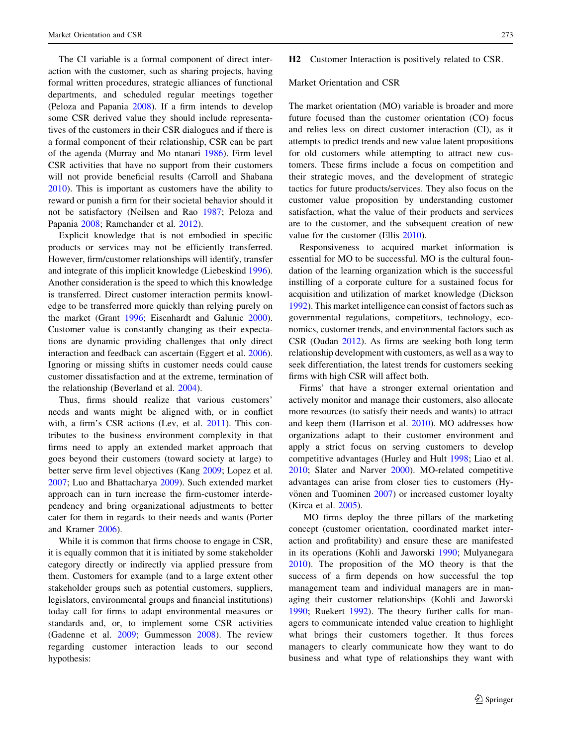The CI variable is a formal component of direct interaction with the customer, such as sharing projects, having formal written procedures, strategic alliances of functional departments, and scheduled regular meetings together (Peloza and Papania [2008](#page-15-0)). If a firm intends to develop some CSR derived value they should include representatives of the customers in their CSR dialogues and if there is a formal component of their relationship, CSR can be part of the agenda (Murray and Mo ntanari [1986\)](#page-15-0). Firm level CSR activities that have no support from their customers will not provide beneficial results (Carroll and Shabana [2010\)](#page-13-0). This is important as customers have the ability to reward or punish a firm for their societal behavior should it not be satisfactory (Neilsen and Rao [1987;](#page-15-0) Peloza and Papania [2008](#page-15-0); Ramchander et al. [2012\)](#page-15-0).

Explicit knowledge that is not embodied in specific products or services may not be efficiently transferred. However, firm/customer relationships will identify, transfer and integrate of this implicit knowledge (Liebeskind [1996](#page-14-0)). Another consideration is the speed to which this knowledge is transferred. Direct customer interaction permits knowledge to be transferred more quickly than relying purely on the market (Grant [1996;](#page-13-0) Eisenhardt and Galunic [2000](#page-13-0)). Customer value is constantly changing as their expectations are dynamic providing challenges that only direct interaction and feedback can ascertain (Eggert et al. [2006](#page-13-0)). Ignoring or missing shifts in customer needs could cause customer dissatisfaction and at the extreme, termination of the relationship (Beverland et al. [2004\)](#page-13-0).

Thus, firms should realize that various customers' needs and wants might be aligned with, or in conflict with, a firm's CSR actions (Lev, et al. [2011](#page-14-0)). This contributes to the business environment complexity in that firms need to apply an extended market approach that goes beyond their customers (toward society at large) to better serve firm level objectives (Kang [2009](#page-14-0); Lopez et al. [2007;](#page-14-0) Luo and Bhattacharya [2009\)](#page-14-0). Such extended market approach can in turn increase the firm-customer interdependency and bring organizational adjustments to better cater for them in regards to their needs and wants (Porter and Kramer [2006\)](#page-15-0).

While it is common that firms choose to engage in CSR, it is equally common that it is initiated by some stakeholder category directly or indirectly via applied pressure from them. Customers for example (and to a large extent other stakeholder groups such as potential customers, suppliers, legislators, environmental groups and financial institutions) today call for firms to adapt environmental measures or standards and, or, to implement some CSR activities (Gadenne et al. [2009](#page-13-0); Gummesson [2008\)](#page-13-0). The review regarding customer interaction leads to our second hypothesis:

#### H2 Customer Interaction is positively related to CSR.

# Market Orientation and CSR

The market orientation (MO) variable is broader and more future focused than the customer orientation (CO) focus and relies less on direct customer interaction (CI), as it attempts to predict trends and new value latent propositions for old customers while attempting to attract new customers. These firms include a focus on competition and their strategic moves, and the development of strategic tactics for future products/services. They also focus on the customer value proposition by understanding customer satisfaction, what the value of their products and services are to the customer, and the subsequent creation of new value for the customer (Ellis [2010\)](#page-13-0).

Responsiveness to acquired market information is essential for MO to be successful. MO is the cultural foundation of the learning organization which is the successful instilling of a corporate culture for a sustained focus for acquisition and utilization of market knowledge (Dickson [1992](#page-13-0)). This market intelligence can consist of factors such as governmental regulations, competitors, technology, economics, customer trends, and environmental factors such as CSR (Oudan [2012\)](#page-15-0). As firms are seeking both long term relationship development with customers, as well as a way to seek differentiation, the latest trends for customers seeking firms with high CSR will affect both.

Firms' that have a stronger external orientation and actively monitor and manage their customers, also allocate more resources (to satisfy their needs and wants) to attract and keep them (Harrison et al. [2010](#page-14-0)). MO addresses how organizations adapt to their customer environment and apply a strict focus on serving customers to develop competitive advantages (Hurley and Hult [1998;](#page-14-0) Liao et al. [2010](#page-14-0); Slater and Narver [2000](#page-15-0)). MO-related competitive advantages can arise from closer ties to customers (Hy-vönen and Tuominen [2007](#page-14-0)) or increased customer loyalty (Kirca et al. [2005\)](#page-14-0).

MO firms deploy the three pillars of the marketing concept (customer orientation, coordinated market interaction and profitability) and ensure these are manifested in its operations (Kohli and Jaworski [1990;](#page-14-0) Mulyanegara [2010](#page-15-0)). The proposition of the MO theory is that the success of a firm depends on how successful the top management team and individual managers are in managing their customer relationships (Kohli and Jaworski [1990](#page-14-0); Ruekert [1992](#page-15-0)). The theory further calls for managers to communicate intended value creation to highlight what brings their customers together. It thus forces managers to clearly communicate how they want to do business and what type of relationships they want with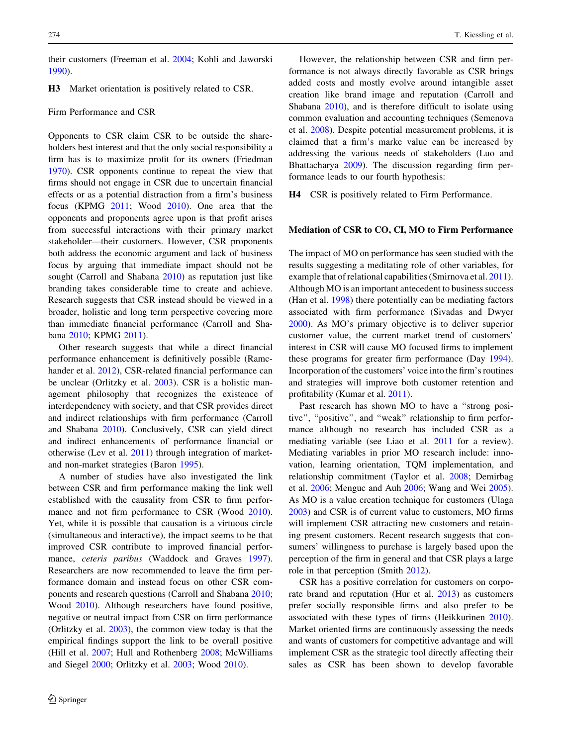their customers (Freeman et al. [2004](#page-13-0); Kohli and Jaworski [1990\)](#page-14-0).

H3 Market orientation is positively related to CSR.

# Firm Performance and CSR

Opponents to CSR claim CSR to be outside the shareholders best interest and that the only social responsibility a firm has is to maximize profit for its owners (Friedman [1970\)](#page-13-0). CSR opponents continue to repeat the view that firms should not engage in CSR due to uncertain financial effects or as a potential distraction from a firm's business focus (KPMG [2011](#page-14-0); Wood [2010](#page-15-0)). One area that the opponents and proponents agree upon is that profit arises from successful interactions with their primary market stakeholder—their customers. However, CSR proponents both address the economic argument and lack of business focus by arguing that immediate impact should not be sought (Carroll and Shabana [2010](#page-13-0)) as reputation just like branding takes considerable time to create and achieve. Research suggests that CSR instead should be viewed in a broader, holistic and long term perspective covering more than immediate financial performance (Carroll and Shabana [2010](#page-13-0); KPMG [2011](#page-14-0)).

Other research suggests that while a direct financial performance enhancement is definitively possible (Ramchander et al. [2012\)](#page-15-0), CSR-related financial performance can be unclear (Orlitzky et al. [2003\)](#page-15-0). CSR is a holistic management philosophy that recognizes the existence of interdependency with society, and that CSR provides direct and indirect relationships with firm performance (Carroll and Shabana [2010\)](#page-13-0). Conclusively, CSR can yield direct and indirect enhancements of performance financial or otherwise (Lev et al. [2011\)](#page-14-0) through integration of marketand non-market strategies (Baron [1995\)](#page-13-0).

A number of studies have also investigated the link between CSR and firm performance making the link well established with the causality from CSR to firm perfor-mance and not firm performance to CSR (Wood [2010](#page-15-0)). Yet, while it is possible that causation is a virtuous circle (simultaneous and interactive), the impact seems to be that improved CSR contribute to improved financial performance, *ceteris paribus* (Waddock and Graves [1997](#page-15-0)). Researchers are now recommended to leave the firm performance domain and instead focus on other CSR components and research questions (Carroll and Shabana [2010](#page-13-0); Wood [2010](#page-15-0)). Although researchers have found positive, negative or neutral impact from CSR on firm performance (Orlitzky et al. [2003](#page-15-0)), the common view today is that the empirical findings support the link to be overall positive (Hill et al. [2007](#page-14-0); Hull and Rothenberg [2008;](#page-14-0) McWilliams and Siegel [2000](#page-14-0); Orlitzky et al. [2003;](#page-15-0) Wood [2010](#page-15-0)).

However, the relationship between CSR and firm performance is not always directly favorable as CSR brings added costs and mostly evolve around intangible asset creation like brand image and reputation (Carroll and Shabana [2010](#page-13-0)), and is therefore difficult to isolate using common evaluation and accounting techniques (Semenova et al. [2008](#page-15-0)). Despite potential measurement problems, it is claimed that a firm's marke value can be increased by addressing the various needs of stakeholders (Luo and Bhattacharya [2009](#page-14-0)). The discussion regarding firm performance leads to our fourth hypothesis:

H4 CSR is positively related to Firm Performance.

#### Mediation of CSR to CO, CI, MO to Firm Performance

The impact of MO on performance has seen studied with the results suggesting a meditating role of other variables, for example that of relational capabilities (Smirnova et al. [2011](#page-15-0)). Although MO is an important antecedent to business success (Han et al. [1998](#page-14-0)) there potentially can be mediating factors associated with firm performance (Sivadas and Dwyer [2000](#page-15-0)). As MO's primary objective is to deliver superior customer value, the current market trend of customers' interest in CSR will cause MO focused firms to implement these programs for greater firm performance (Day [1994](#page-13-0)). Incorporation of the customers' voice into the firm's routines and strategies will improve both customer retention and profitability (Kumar et al. [2011\)](#page-14-0).

Past research has shown MO to have a ''strong positive", "positive", and "weak" relationship to firm performance although no research has included CSR as a mediating variable (see Liao et al. [2011](#page-14-0) for a review). Mediating variables in prior MO research include: innovation, learning orientation, TQM implementation, and relationship commitment (Taylor et al. [2008](#page-15-0); Demirbag et al. [2006](#page-13-0); Menguc and Auh [2006](#page-14-0); Wang and Wei [2005](#page-15-0)). As MO is a value creation technique for customers (Ulaga [2003](#page-15-0)) and CSR is of current value to customers, MO firms will implement CSR attracting new customers and retaining present customers. Recent research suggests that consumers' willingness to purchase is largely based upon the perception of the firm in general and that CSR plays a large role in that perception (Smith [2012\)](#page-15-0).

CSR has a positive correlation for customers on corporate brand and reputation (Hur et al. [2013\)](#page-14-0) as customers prefer socially responsible firms and also prefer to be associated with these types of firms (Heikkurinen [2010](#page-14-0)). Market oriented firms are continuously assessing the needs and wants of customers for competitive advantage and will implement CSR as the strategic tool directly affecting their sales as CSR has been shown to develop favorable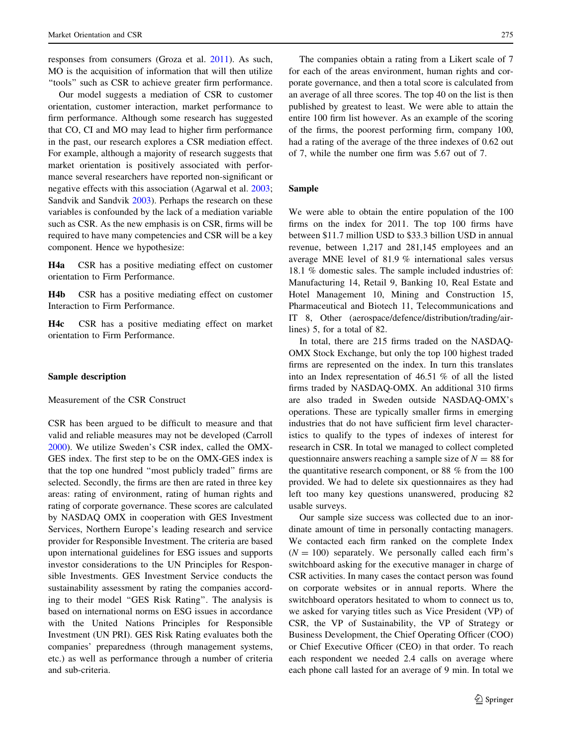responses from consumers (Groza et al. [2011\)](#page-13-0). As such, MO is the acquisition of information that will then utilize ''tools'' such as CSR to achieve greater firm performance.

Our model suggests a mediation of CSR to customer orientation, customer interaction, market performance to firm performance. Although some research has suggested that CO, CI and MO may lead to higher firm performance in the past, our research explores a CSR mediation effect. For example, although a majority of research suggests that market orientation is positively associated with performance several researchers have reported non-significant or negative effects with this association (Agarwal et al. [2003](#page-13-0); Sandvik and Sandvik [2003](#page-15-0)). Perhaps the research on these variables is confounded by the lack of a mediation variable such as CSR. As the new emphasis is on CSR, firms will be required to have many competencies and CSR will be a key component. Hence we hypothesize:

H4a CSR has a positive mediating effect on customer orientation to Firm Performance.

H4b CSR has a positive mediating effect on customer Interaction to Firm Performance.

H4c CSR has a positive mediating effect on market orientation to Firm Performance.

#### Sample description

Measurement of the CSR Construct

CSR has been argued to be difficult to measure and that valid and reliable measures may not be developed (Carroll [2000\)](#page-13-0). We utilize Sweden's CSR index, called the OMX-GES index. The first step to be on the OMX-GES index is that the top one hundred ''most publicly traded'' firms are selected. Secondly, the firms are then are rated in three key areas: rating of environment, rating of human rights and rating of corporate governance. These scores are calculated by NASDAQ OMX in cooperation with GES Investment Services, Northern Europe's leading research and service provider for Responsible Investment. The criteria are based upon international guidelines for ESG issues and supports investor considerations to the UN Principles for Responsible Investments. GES Investment Service conducts the sustainability assessment by rating the companies according to their model ''GES Risk Rating''. The analysis is based on international norms on ESG issues in accordance with the United Nations Principles for Responsible Investment (UN PRI). GES Risk Rating evaluates both the companies' preparedness (through management systems, etc.) as well as performance through a number of criteria and sub-criteria.

The companies obtain a rating from a Likert scale of 7 for each of the areas environment, human rights and corporate governance, and then a total score is calculated from an average of all three scores. The top 40 on the list is then published by greatest to least. We were able to attain the entire 100 firm list however. As an example of the scoring of the firms, the poorest performing firm, company 100, had a rating of the average of the three indexes of 0.62 out of 7, while the number one firm was 5.67 out of 7.

#### Sample

We were able to obtain the entire population of the 100 firms on the index for 2011. The top 100 firms have between \$11.7 million USD to \$33.3 billion USD in annual revenue, between 1,217 and 281,145 employees and an average MNE level of 81.9 % international sales versus 18.1 % domestic sales. The sample included industries of: Manufacturing 14, Retail 9, Banking 10, Real Estate and Hotel Management 10, Mining and Construction 15, Pharmaceutical and Biotech 11, Telecommunications and IT 8, Other (aerospace/defence/distribution/trading/airlines) 5, for a total of 82.

In total, there are 215 firms traded on the NASDAQ-OMX Stock Exchange, but only the top 100 highest traded firms are represented on the index. In turn this translates into an Index representation of 46.51 % of all the listed firms traded by NASDAQ-OMX. An additional 310 firms are also traded in Sweden outside NASDAQ-OMX's operations. These are typically smaller firms in emerging industries that do not have sufficient firm level characteristics to qualify to the types of indexes of interest for research in CSR. In total we managed to collect completed questionnaire answers reaching a sample size of  $N = 88$  for the quantitative research component, or 88 % from the 100 provided. We had to delete six questionnaires as they had left too many key questions unanswered, producing 82 usable surveys.

Our sample size success was collected due to an inordinate amount of time in personally contacting managers. We contacted each firm ranked on the complete Index  $(N = 100)$  separately. We personally called each firm's switchboard asking for the executive manager in charge of CSR activities. In many cases the contact person was found on corporate websites or in annual reports. Where the switchboard operators hesitated to whom to connect us to, we asked for varying titles such as Vice President (VP) of CSR, the VP of Sustainability, the VP of Strategy or Business Development, the Chief Operating Officer (COO) or Chief Executive Officer (CEO) in that order. To reach each respondent we needed 2.4 calls on average where each phone call lasted for an average of 9 min. In total we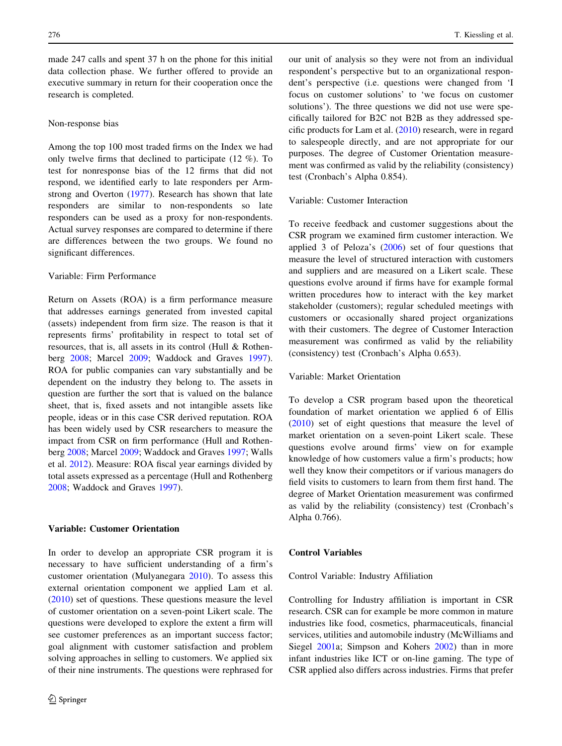made 247 calls and spent 37 h on the phone for this initial data collection phase. We further offered to provide an executive summary in return for their cooperation once the research is completed.

#### Non-response bias

Among the top 100 most traded firms on the Index we had only twelve firms that declined to participate (12 %). To test for nonresponse bias of the 12 firms that did not respond, we identified early to late responders per Armstrong and Overton [\(1977](#page-13-0)). Research has shown that late responders are similar to non-respondents so late responders can be used as a proxy for non-respondents. Actual survey responses are compared to determine if there are differences between the two groups. We found no significant differences.

#### Variable: Firm Performance

Return on Assets (ROA) is a firm performance measure that addresses earnings generated from invested capital (assets) independent from firm size. The reason is that it represents firms' profitability in respect to total set of resources, that is, all assets in its control (Hull & Rothenberg [2008](#page-14-0); Marcel [2009;](#page-14-0) Waddock and Graves [1997](#page-15-0)). ROA for public companies can vary substantially and be dependent on the industry they belong to. The assets in question are further the sort that is valued on the balance sheet, that is, fixed assets and not intangible assets like people, ideas or in this case CSR derived reputation. ROA has been widely used by CSR researchers to measure the impact from CSR on firm performance (Hull and Rothenberg [2008](#page-14-0); Marcel [2009](#page-14-0); Waddock and Graves [1997;](#page-15-0) Walls et al. [2012\)](#page-15-0). Measure: ROA fiscal year earnings divided by total assets expressed as a percentage (Hull and Rothenberg [2008;](#page-14-0) Waddock and Graves [1997](#page-15-0)).

#### Variable: Customer Orientation

In order to develop an appropriate CSR program it is necessary to have sufficient understanding of a firm's customer orientation (Mulyanegara [2010](#page-15-0)). To assess this external orientation component we applied Lam et al. [\(2010](#page-14-0)) set of questions. These questions measure the level of customer orientation on a seven-point Likert scale. The questions were developed to explore the extent a firm will see customer preferences as an important success factor; goal alignment with customer satisfaction and problem solving approaches in selling to customers. We applied six of their nine instruments. The questions were rephrased for our unit of analysis so they were not from an individual respondent's perspective but to an organizational respondent's perspective (i.e. questions were changed from 'I focus on customer solutions' to 'we focus on customer solutions'). The three questions we did not use were specifically tailored for B2C not B2B as they addressed specific products for Lam et al. ([2010\)](#page-14-0) research, were in regard to salespeople directly, and are not appropriate for our purposes. The degree of Customer Orientation measurement was confirmed as valid by the reliability (consistency) test (Cronbach's Alpha 0.854).

# Variable: Customer Interaction

To receive feedback and customer suggestions about the CSR program we examined firm customer interaction. We applied 3 of Peloza's ([2006\)](#page-15-0) set of four questions that measure the level of structured interaction with customers and suppliers and are measured on a Likert scale. These questions evolve around if firms have for example formal written procedures how to interact with the key market stakeholder (customers); regular scheduled meetings with customers or occasionally shared project organizations with their customers. The degree of Customer Interaction measurement was confirmed as valid by the reliability (consistency) test (Cronbach's Alpha 0.653).

# Variable: Market Orientation

To develop a CSR program based upon the theoretical foundation of market orientation we applied 6 of Ellis [\(2010](#page-13-0)) set of eight questions that measure the level of market orientation on a seven-point Likert scale. These questions evolve around firms' view on for example knowledge of how customers value a firm's products; how well they know their competitors or if various managers do field visits to customers to learn from them first hand. The degree of Market Orientation measurement was confirmed as valid by the reliability (consistency) test (Cronbach's Alpha 0.766).

#### Control Variables

Control Variable: Industry Affiliation

Controlling for Industry affiliation is important in CSR research. CSR can for example be more common in mature industries like food, cosmetics, pharmaceuticals, financial services, utilities and automobile industry (McWilliams and Siegel [2001a](#page-14-0); Simpson and Kohers [2002\)](#page-15-0) than in more infant industries like ICT or on-line gaming. The type of CSR applied also differs across industries. Firms that prefer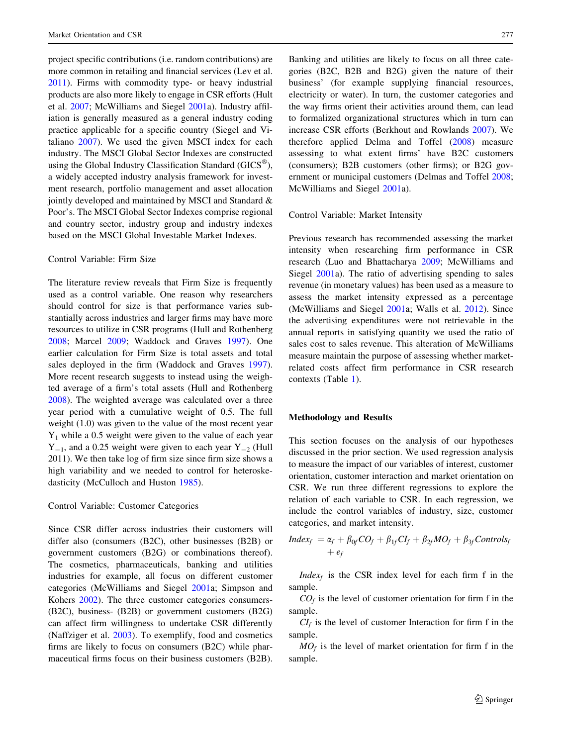project specific contributions (i.e. random contributions) are more common in retailing and financial services (Lev et al. [2011\)](#page-14-0). Firms with commodity type- or heavy industrial products are also more likely to engage in CSR efforts (Hult et al. [2007](#page-14-0); McWilliams and Siegel [2001a](#page-14-0)). Industry affiliation is generally measured as a general industry coding practice applicable for a specific country (Siegel and Vitaliano [2007\)](#page-15-0). We used the given MSCI index for each industry. The MSCI Global Sector Indexes are constructed using the Global Industry Classification Standard ( $GICS^{\circledast}$ ), a widely accepted industry analysis framework for investment research, portfolio management and asset allocation jointly developed and maintained by MSCI and Standard & Poor's. The MSCI Global Sector Indexes comprise regional and country sector, industry group and industry indexes based on the MSCI Global Investable Market Indexes.

# Control Variable: Firm Size

The literature review reveals that Firm Size is frequently used as a control variable. One reason why researchers should control for size is that performance varies substantially across industries and larger firms may have more resources to utilize in CSR programs (Hull and Rothenberg [2008;](#page-14-0) Marcel [2009;](#page-14-0) Waddock and Graves [1997\)](#page-15-0). One earlier calculation for Firm Size is total assets and total sales deployed in the firm (Waddock and Graves [1997](#page-15-0)). More recent research suggests to instead using the weighted average of a firm's total assets (Hull and Rothenberg [2008\)](#page-14-0). The weighted average was calculated over a three year period with a cumulative weight of 0.5. The full weight  $(1.0)$  was given to the value of the most recent year  $Y_1$  while a 0.5 weight were given to the value of each year  $Y_{-1}$ , and a 0.25 weight were given to each year  $Y_{-2}$  (Hull 2011). We then take log of firm size since firm size shows a high variability and we needed to control for heteroskedasticity (McCulloch and Huston [1985\)](#page-14-0).

#### Control Variable: Customer Categories

Since CSR differ across industries their customers will differ also (consumers (B2C), other businesses (B2B) or government customers (B2G) or combinations thereof). The cosmetics, pharmaceuticals, banking and utilities industries for example, all focus on different customer categories (McWilliams and Siegel [2001](#page-14-0)a; Simpson and Kohers [2002\)](#page-15-0). The three customer categories consumers- (B2C), business- (B2B) or government customers (B2G) can affect firm willingness to undertake CSR differently (Naffziger et al. [2003\)](#page-15-0). To exemplify, food and cosmetics firms are likely to focus on consumers (B2C) while pharmaceutical firms focus on their business customers (B2B).

Banking and utilities are likely to focus on all three categories (B2C, B2B and B2G) given the nature of their business' (for example supplying financial resources, electricity or water). In turn, the customer categories and the way firms orient their activities around them, can lead to formalized organizational structures which in turn can increase CSR efforts (Berkhout and Rowlands [2007\)](#page-13-0). We therefore applied Delma and Toffel ([2008\)](#page-13-0) measure assessing to what extent firms' have B2C customers (consumers); B2B customers (other firms); or B2G government or municipal customers (Delmas and Toffel [2008](#page-13-0); McWilliams and Siegel [2001a](#page-14-0)).

Control Variable: Market Intensity

Previous research has recommended assessing the market intensity when researching firm performance in CSR research (Luo and Bhattacharya [2009;](#page-14-0) McWilliams and Siegel [2001](#page-14-0)a). The ratio of advertising spending to sales revenue (in monetary values) has been used as a measure to assess the market intensity expressed as a percentage (McWilliams and Siegel [2001](#page-14-0)a; Walls et al. [2012\)](#page-15-0). Since the advertising expenditures were not retrievable in the annual reports in satisfying quantity we used the ratio of sales cost to sales revenue. This alteration of McWilliams measure maintain the purpose of assessing whether marketrelated costs affect firm performance in CSR research contexts (Table [1](#page-9-0)).

# Methodology and Results

This section focuses on the analysis of our hypotheses discussed in the prior section. We used regression analysis to measure the impact of our variables of interest, customer orientation, customer interaction and market orientation on CSR. We run three different regressions to explore the relation of each variable to CSR. In each regression, we include the control variables of industry, size, customer categories, and market intensity.

$$
Index_f = \alpha_f + \beta_{0f}CO_f + \beta_{1f}CI_f + \beta_{2f}MO_f + \beta_{3f} Controls_f
$$
  
+  $e_f$ 

*Index<sub>f</sub>* is the CSR index level for each firm f in the sample.

 $CO<sub>f</sub>$  is the level of customer orientation for firm f in the sample.

 $CI_f$  is the level of customer Interaction for firm f in the sample.

 $MO<sub>f</sub>$  is the level of market orientation for firm f in the sample.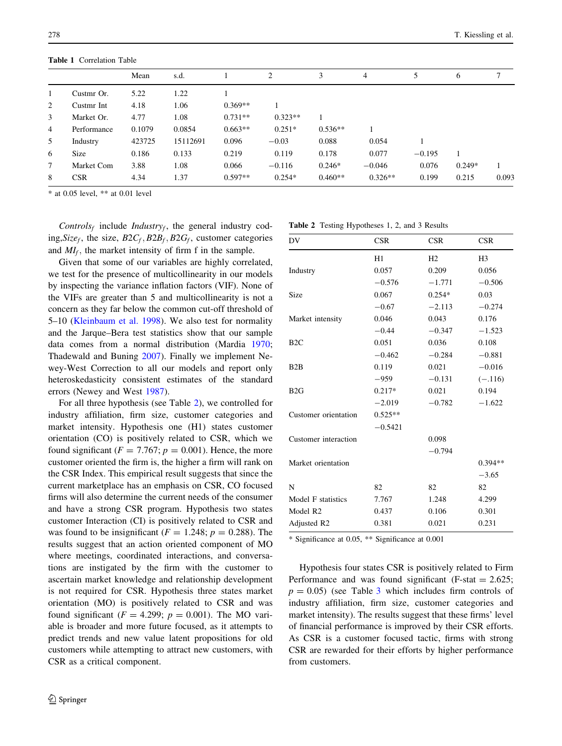<span id="page-9-0"></span>Table 1 Correlation Table

|                |             | Mean   | s.d.     |           | 2         | 3         | 4         | 5        | 6        | 7     |
|----------------|-------------|--------|----------|-----------|-----------|-----------|-----------|----------|----------|-------|
| 1              | Custmr Or.  | 5.22   | 1.22     |           |           |           |           |          |          |       |
| 2              | Custmr Int  | 4.18   | 1.06     | $0.369**$ |           |           |           |          |          |       |
| 3              | Market Or.  | 4.77   | 1.08     | $0.731**$ | $0.323**$ |           |           |          |          |       |
| $\overline{4}$ | Performance | 0.1079 | 0.0854   | $0.663**$ | $0.251*$  | $0.536**$ |           |          |          |       |
| 5              | Industry    | 423725 | 15112691 | 0.096     | $-0.03$   | 0.088     | 0.054     |          |          |       |
| 6              | <b>Size</b> | 0.186  | 0.133    | 0.219     | 0.119     | 0.178     | 0.077     | $-0.195$ |          |       |
| 7              | Market Com  | 3.88   | 1.08     | 0.066     | $-0.116$  | $0.246*$  | $-0.046$  | 0.076    | $0.249*$ |       |
| 8              | <b>CSR</b>  | 4.34   | 1.37     | $0.597**$ | $0.254*$  | $0.460**$ | $0.326**$ | 0.199    | 0.215    | 0.093 |
|                |             |        |          |           |           |           |           |          |          |       |

\* at 0.05 level, \*\* at 0.01 level

Controls<sub>f</sub> include *Industry<sub>f</sub>*, the general industry coding, Size<sub>f</sub>, the size,  $B2C_f$ ,  $B2B_f$ ,  $B2G_f$ , customer categories and  $MI_f$ , the market intensity of firm f in the sample.

Given that some of our variables are highly correlated, we test for the presence of multicollinearity in our models by inspecting the variance inflation factors (VIF). None of the VIFs are greater than 5 and multicollinearity is not a concern as they far below the common cut-off threshold of 5–10 ([Kleinbaum et al. 1998](#page-14-0)). We also test for normality and the Jarque–Bera test statistics show that our sample data comes from a normal distribution (Mardia [1970](#page-14-0); Thadewald and Buning [2007\)](#page-15-0). Finally we implement Newey-West Correction to all our models and report only heteroskedasticity consistent estimates of the standard errors (Newey and West [1987](#page-15-0)).

For all three hypothesis (see Table 2), we controlled for industry affiliation, firm size, customer categories and market intensity. Hypothesis one (H1) states customer orientation (CO) is positively related to CSR, which we found significant ( $F = 7.767$ ;  $p = 0.001$ ). Hence, the more customer oriented the firm is, the higher a firm will rank on the CSR Index. This empirical result suggests that since the current marketplace has an emphasis on CSR, CO focused firms will also determine the current needs of the consumer and have a strong CSR program. Hypothesis two states customer Interaction (CI) is positively related to CSR and was found to be insignificant ( $F = 1.248$ ;  $p = 0.288$ ). The results suggest that an action oriented component of MO where meetings, coordinated interactions, and conversations are instigated by the firm with the customer to ascertain market knowledge and relationship development is not required for CSR. Hypothesis three states market orientation (MO) is positively related to CSR and was found significant ( $F = 4.299$ ;  $p = 0.001$ ). The MO variable is broader and more future focused, as it attempts to predict trends and new value latent propositions for old customers while attempting to attract new customers, with CSR as a critical component.

|  |  | <b>Table 2</b> Testing Hypotheses 1, 2, and 3 Results |  |  |  |  |  |
|--|--|-------------------------------------------------------|--|--|--|--|--|
|--|--|-------------------------------------------------------|--|--|--|--|--|

| DV                   | <b>CSR</b> | <b>CSR</b>     | <b>CSR</b>     |
|----------------------|------------|----------------|----------------|
|                      | H1         | H <sub>2</sub> | H <sub>3</sub> |
| Industry             | 0.057      | 0.209          | 0.056          |
|                      | $-0.576$   | $-1.771$       | $-0.506$       |
| Size                 | 0.067      | $0.254*$       | 0.03           |
|                      | $-0.67$    | $-2.113$       | $-0.274$       |
| Market intensity     | 0.046      | 0.043          | 0.176          |
|                      | $-0.44$    | $-0.347$       | $-1.523$       |
| B2C                  | 0.051      | 0.036          | 0.108          |
|                      | $-0.462$   | $-0.284$       | $-0.881$       |
| B2B                  | 0.119      | 0.021          | $-0.016$       |
|                      | $-959$     | $-0.131$       | $(-.116)$      |
| B2G                  | $0.217*$   | 0.021          | 0.194          |
|                      | $-2.019$   | $-0.782$       | $-1.622$       |
| Customer orientation | $0.525**$  |                |                |
|                      | $-0.5421$  |                |                |
| Customer interaction |            | 0.098          |                |
|                      |            | $-0.794$       |                |
| Market orientation   |            |                | $0.394**$      |
|                      |            |                | $-3.65$        |
| N                    | 82         | 82             | 82             |
| Model F statistics   | 7.767      | 1.248          | 4.299          |
| Model R <sub>2</sub> | 0.437      | 0.106          | 0.301          |
| Adjusted R2          | 0.381      | 0.021          | 0.231          |

\* Significance at 0.05, \*\* Significance at 0.001

Hypothesis four states CSR is positively related to Firm Performance and was found significant (F-stat  $= 2.625$ ;  $p = 0.05$ ) (see Table [3](#page-10-0) which includes firm controls of industry affiliation, firm size, customer categories and market intensity). The results suggest that these firms' level of financial performance is improved by their CSR efforts. As CSR is a customer focused tactic, firms with strong CSR are rewarded for their efforts by higher performance from customers.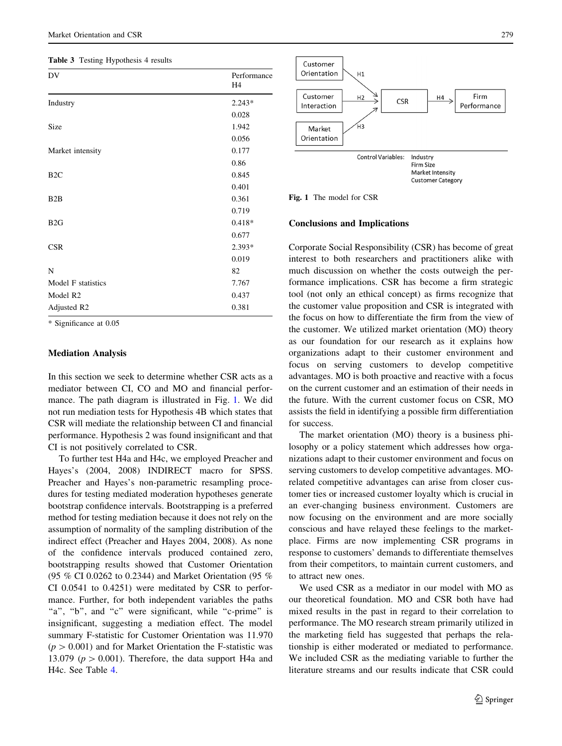<span id="page-10-0"></span>Table 3 Testing Hypothesis 4 results

| DV                   | Performance<br>H4 |
|----------------------|-------------------|
| Industry             | 2.243*            |
|                      | 0.028             |
| Size                 | 1.942             |
|                      | 0.056             |
| Market intensity     | 0.177             |
|                      | 0.86              |
| B <sub>2</sub> C     | 0.845             |
|                      | 0.401             |
| B <sub>2</sub> B     | 0.361             |
|                      | 0.719             |
| B <sub>2</sub> G     | $0.418*$          |
|                      | 0.677             |
| <b>CSR</b>           | 2.393*            |
|                      | 0.019             |
| N                    | 82                |
| Model F statistics   | 7.767             |
| Model R <sub>2</sub> | 0.437             |
| Adjusted R2          | 0.381             |
|                      |                   |

\* Significance at 0.05

# Mediation Analysis

In this section we seek to determine whether CSR acts as a mediator between CI, CO and MO and financial performance. The path diagram is illustrated in Fig. 1. We did not run mediation tests for Hypothesis 4B which states that CSR will mediate the relationship between CI and financial performance. Hypothesis 2 was found insignificant and that CI is not positively correlated to CSR.

To further test H4a and H4c, we employed Preacher and Hayes's (2004, 2008) INDIRECT macro for SPSS. Preacher and Hayes's non-parametric resampling procedures for testing mediated moderation hypotheses generate bootstrap confidence intervals. Bootstrapping is a preferred method for testing mediation because it does not rely on the assumption of normality of the sampling distribution of the indirect effect (Preacher and Hayes 2004, 2008). As none of the confidence intervals produced contained zero, bootstrapping results showed that Customer Orientation (95 % CI 0.0262 to 0.2344) and Market Orientation (95 % CI 0.0541 to 0.4251) were meditated by CSR to performance. Further, for both independent variables the paths "a", "b", and "c" were significant, while "c-prime" is insignificant, suggesting a mediation effect. The model summary F-statistic for Customer Orientation was 11.970  $(p > 0.001)$  and for Market Orientation the F-statistic was 13.079 ( $p > 0.001$ ). Therefore, the data support H4a and H4c. See Table [4](#page-11-0).



Fig. 1 The model for CSR

#### Conclusions and Implications

Corporate Social Responsibility (CSR) has become of great interest to both researchers and practitioners alike with much discussion on whether the costs outweigh the performance implications. CSR has become a firm strategic tool (not only an ethical concept) as firms recognize that the customer value proposition and CSR is integrated with the focus on how to differentiate the firm from the view of the customer. We utilized market orientation (MO) theory as our foundation for our research as it explains how organizations adapt to their customer environment and focus on serving customers to develop competitive advantages. MO is both proactive and reactive with a focus on the current customer and an estimation of their needs in the future. With the current customer focus on CSR, MO assists the field in identifying a possible firm differentiation for success.

The market orientation (MO) theory is a business philosophy or a policy statement which addresses how organizations adapt to their customer environment and focus on serving customers to develop competitive advantages. MOrelated competitive advantages can arise from closer customer ties or increased customer loyalty which is crucial in an ever-changing business environment. Customers are now focusing on the environment and are more socially conscious and have relayed these feelings to the marketplace. Firms are now implementing CSR programs in response to customers' demands to differentiate themselves from their competitors, to maintain current customers, and to attract new ones.

We used CSR as a mediator in our model with MO as our theoretical foundation. MO and CSR both have had mixed results in the past in regard to their correlation to performance. The MO research stream primarily utilized in the marketing field has suggested that perhaps the relationship is either moderated or mediated to performance. We included CSR as the mediating variable to further the literature streams and our results indicate that CSR could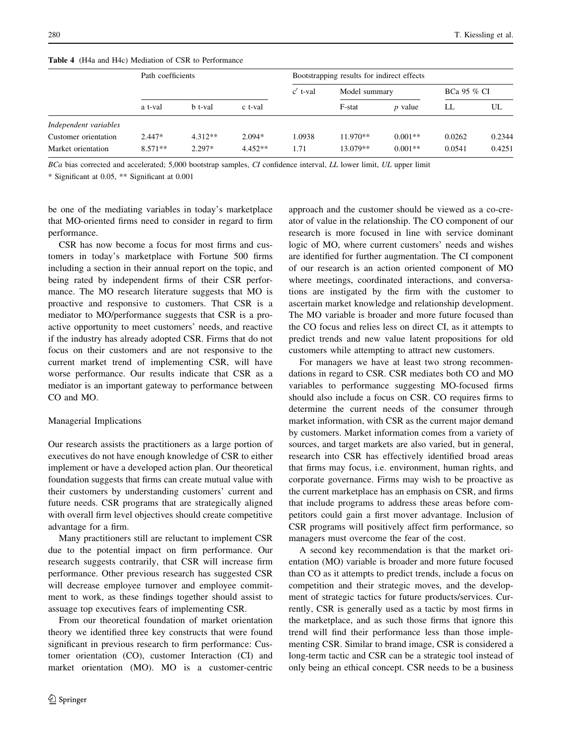|                       | Path coefficients |           |           |            | Bootstrapping results for indirect effects |                |                    |        |  |
|-----------------------|-------------------|-----------|-----------|------------|--------------------------------------------|----------------|--------------------|--------|--|
|                       |                   |           |           | $c'$ t-val | Model summary                              |                | <b>BCa 95 % CI</b> |        |  |
|                       | a t-val           | b t-val   | c t-val   |            | F-stat                                     | <i>p</i> value | LL                 | UL     |  |
| Independent variables |                   |           |           |            |                                            |                |                    |        |  |
| Customer orientation  | $2.447*$          | $4.312**$ | $2.094*$  | 1.0938     | $11.970**$                                 | $0.001**$      | 0.0262             | 0.2344 |  |
| Market orientation    | $8.571**$         | $2.297*$  | $4.452**$ | 1.71       | 13.079**                                   | $0.001**$      | 0.0541             | 0.4251 |  |

<span id="page-11-0"></span>Table 4 (H4a and H4c) Mediation of CSR to Performance

BCa bias corrected and accelerated; 5,000 bootstrap samples, CI confidence interval, LL lower limit, UL upper limit

\* Significant at 0.05, \*\* Significant at 0.001

be one of the mediating variables in today's marketplace that MO-oriented firms need to consider in regard to firm performance.

CSR has now become a focus for most firms and customers in today's marketplace with Fortune 500 firms including a section in their annual report on the topic, and being rated by independent firms of their CSR performance. The MO research literature suggests that MO is proactive and responsive to customers. That CSR is a mediator to MO/performance suggests that CSR is a proactive opportunity to meet customers' needs, and reactive if the industry has already adopted CSR. Firms that do not focus on their customers and are not responsive to the current market trend of implementing CSR, will have worse performance. Our results indicate that CSR as a mediator is an important gateway to performance between CO and MO.

#### Managerial Implications

Our research assists the practitioners as a large portion of executives do not have enough knowledge of CSR to either implement or have a developed action plan. Our theoretical foundation suggests that firms can create mutual value with their customers by understanding customers' current and future needs. CSR programs that are strategically aligned with overall firm level objectives should create competitive advantage for a firm.

Many practitioners still are reluctant to implement CSR due to the potential impact on firm performance. Our research suggests contrarily, that CSR will increase firm performance. Other previous research has suggested CSR will decrease employee turnover and employee commitment to work, as these findings together should assist to assuage top executives fears of implementing CSR.

From our theoretical foundation of market orientation theory we identified three key constructs that were found significant in previous research to firm performance: Customer orientation (CO), customer Interaction (CI) and market orientation (MO). MO is a customer-centric approach and the customer should be viewed as a co-creator of value in the relationship. The CO component of our research is more focused in line with service dominant logic of MO, where current customers' needs and wishes are identified for further augmentation. The CI component of our research is an action oriented component of MO where meetings, coordinated interactions, and conversations are instigated by the firm with the customer to ascertain market knowledge and relationship development. The MO variable is broader and more future focused than the CO focus and relies less on direct CI, as it attempts to predict trends and new value latent propositions for old customers while attempting to attract new customers.

For managers we have at least two strong recommendations in regard to CSR. CSR mediates both CO and MO variables to performance suggesting MO-focused firms should also include a focus on CSR. CO requires firms to determine the current needs of the consumer through market information, with CSR as the current major demand by customers. Market information comes from a variety of sources, and target markets are also varied, but in general, research into CSR has effectively identified broad areas that firms may focus, i.e. environment, human rights, and corporate governance. Firms may wish to be proactive as the current marketplace has an emphasis on CSR, and firms that include programs to address these areas before competitors could gain a first mover advantage. Inclusion of CSR programs will positively affect firm performance, so managers must overcome the fear of the cost.

A second key recommendation is that the market orientation (MO) variable is broader and more future focused than CO as it attempts to predict trends, include a focus on competition and their strategic moves, and the development of strategic tactics for future products/services. Currently, CSR is generally used as a tactic by most firms in the marketplace, and as such those firms that ignore this trend will find their performance less than those implementing CSR. Similar to brand image, CSR is considered a long-term tactic and CSR can be a strategic tool instead of only being an ethical concept. CSR needs to be a business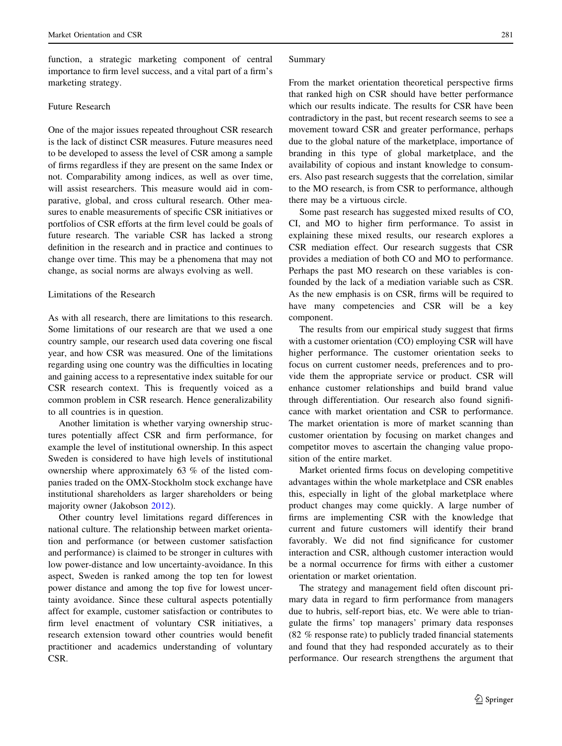function, a strategic marketing component of central importance to firm level success, and a vital part of a firm's marketing strategy.

# Future Research

One of the major issues repeated throughout CSR research is the lack of distinct CSR measures. Future measures need to be developed to assess the level of CSR among a sample of firms regardless if they are present on the same Index or not. Comparability among indices, as well as over time, will assist researchers. This measure would aid in comparative, global, and cross cultural research. Other measures to enable measurements of specific CSR initiatives or portfolios of CSR efforts at the firm level could be goals of future research. The variable CSR has lacked a strong definition in the research and in practice and continues to change over time. This may be a phenomena that may not change, as social norms are always evolving as well.

# Limitations of the Research

As with all research, there are limitations to this research. Some limitations of our research are that we used a one country sample, our research used data covering one fiscal year, and how CSR was measured. One of the limitations regarding using one country was the difficulties in locating and gaining access to a representative index suitable for our CSR research context. This is frequently voiced as a common problem in CSR research. Hence generalizability to all countries is in question.

Another limitation is whether varying ownership structures potentially affect CSR and firm performance, for example the level of institutional ownership. In this aspect Sweden is considered to have high levels of institutional ownership where approximately 63 % of the listed companies traded on the OMX-Stockholm stock exchange have institutional shareholders as larger shareholders or being majority owner (Jakobson [2012](#page-14-0)).

Other country level limitations regard differences in national culture. The relationship between market orientation and performance (or between customer satisfaction and performance) is claimed to be stronger in cultures with low power-distance and low uncertainty-avoidance. In this aspect, Sweden is ranked among the top ten for lowest power distance and among the top five for lowest uncertainty avoidance. Since these cultural aspects potentially affect for example, customer satisfaction or contributes to firm level enactment of voluntary CSR initiatives, a research extension toward other countries would benefit practitioner and academics understanding of voluntary CSR.

#### Summary

From the market orientation theoretical perspective firms that ranked high on CSR should have better performance which our results indicate. The results for CSR have been contradictory in the past, but recent research seems to see a movement toward CSR and greater performance, perhaps due to the global nature of the marketplace, importance of branding in this type of global marketplace, and the availability of copious and instant knowledge to consumers. Also past research suggests that the correlation, similar to the MO research, is from CSR to performance, although there may be a virtuous circle.

Some past research has suggested mixed results of CO, CI, and MO to higher firm performance. To assist in explaining these mixed results, our research explores a CSR mediation effect. Our research suggests that CSR provides a mediation of both CO and MO to performance. Perhaps the past MO research on these variables is confounded by the lack of a mediation variable such as CSR. As the new emphasis is on CSR, firms will be required to have many competencies and CSR will be a key component.

The results from our empirical study suggest that firms with a customer orientation (CO) employing CSR will have higher performance. The customer orientation seeks to focus on current customer needs, preferences and to provide them the appropriate service or product. CSR will enhance customer relationships and build brand value through differentiation. Our research also found significance with market orientation and CSR to performance. The market orientation is more of market scanning than customer orientation by focusing on market changes and competitor moves to ascertain the changing value proposition of the entire market.

Market oriented firms focus on developing competitive advantages within the whole marketplace and CSR enables this, especially in light of the global marketplace where product changes may come quickly. A large number of firms are implementing CSR with the knowledge that current and future customers will identify their brand favorably. We did not find significance for customer interaction and CSR, although customer interaction would be a normal occurrence for firms with either a customer orientation or market orientation.

The strategy and management field often discount primary data in regard to firm performance from managers due to hubris, self-report bias, etc. We were able to triangulate the firms' top managers' primary data responses (82 % response rate) to publicly traded financial statements and found that they had responded accurately as to their performance. Our research strengthens the argument that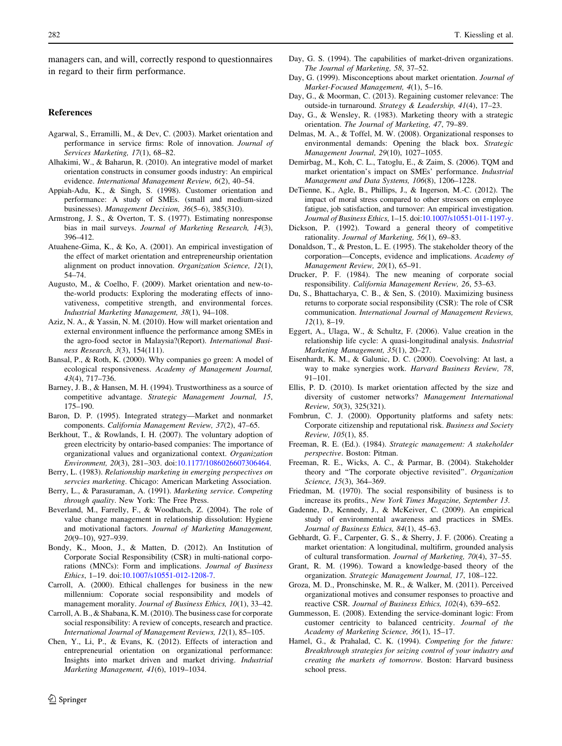<span id="page-13-0"></span>managers can, and will, correctly respond to questionnaires in regard to their firm performance.

# References

- Agarwal, S., Erramilli, M., & Dev, C. (2003). Market orientation and performance in service firms: Role of innovation. Journal of Services Marketing, 17(1), 68–82.
- Alhakimi, W., & Baharun, R. (2010). An integrative model of market orientation constructs in consumer goods industry: An empirical evidence. International Management Review, 6(2), 40–54.
- Appiah-Adu, K., & Singh, S. (1998). Customer orientation and performance: A study of SMEs. (small and medium-sized businesses). Management Decision, 36(5–6), 385(310).
- Armstrong, J. S., & Overton, T. S. (1977). Estimating nonresponse bias in mail surveys. Journal of Marketing Research, 14(3), 396–412.
- Atuahene-Gima, K., & Ko, A. (2001). An empirical investigation of the effect of market orientation and entrepreneurship orientation alignment on product innovation. Organization Science, 12(1), 54–74.
- Augusto, M., & Coelho, F. (2009). Market orientation and new-tothe-world products: Exploring the moderating effects of innovativeness, competitive strength, and environmental forces. Industrial Marketing Management, 38(1), 94–108.
- Aziz, N. A., & Yassin, N. M. (2010). How will market orientation and external environment influence the performance among SMEs in the agro-food sector in Malaysia?(Report). International Business Research, 3(3), 154(111).
- Bansal, P., & Roth, K. (2000). Why companies go green: A model of ecological responsiveness. Academy of Management Journal, 43(4), 717–736.
- Barney, J. B., & Hansen, M. H. (1994). Trustworthiness as a source of competitive advantage. Strategic Management Journal, 15, 175–190.
- Baron, D. P. (1995). Integrated strategy—Market and nonmarket components. California Management Review, 37(2), 47–65.
- Berkhout, T., & Rowlands, I. H. (2007). The voluntary adoption of green electricity by ontario-based companies: The importance of organizational values and organizational context. Organization Environment, 20(3), 281–303. doi:[10.1177/1086026607306464.](http://dx.doi.org/10.1177/1086026607306464)
- Berry, L. (1983). Relationship marketing in emerging perspectives on servcies marketing. Chicago: American Marketing Association.
- Berry, L., & Parasuraman, A. (1991). Marketing service. Competing through quality. New York: The Free Press.
- Beverland, M., Farrelly, F., & Woodhatch, Z. (2004). The role of value change management in relationship dissolution: Hygiene and motivational factors. Journal of Marketing Management, 20(9–10), 927–939.
- Bondy, K., Moon, J., & Matten, D. (2012). An Institution of Corporate Social Responsibility (CSR) in multi-national corporations (MNCs): Form and implications. Journal of Business Ethics, 1–19. doi[:10.1007/s10551-012-1208-7](http://dx.doi.org/10.1007/s10551-012-1208-7).
- Carroll, A. (2000). Ethical challenges for business in the new millennium: Coporate social responsibility and models of management morality. Journal of Business Ethics, 10(1), 33–42.
- Carroll, A. B., & Shabana, K. M. (2010). The business case for corporate social responsibility: A review of concepts, research and practice. International Journal of Management Reviews, 12(1), 85–105.
- Chen, Y., Li, P., & Evans, K. (2012). Effects of interaction and entrepreneurial orientation on organizational performance: Insights into market driven and market driving. Industrial Marketing Management, 41(6), 1019–1034.
- Day, G. S. (1994). The capabilities of market-driven organizations. The Journal of Marketing, 58, 37–52.
- Day, G. (1999). Misconceptions about market orientation. Journal of Market-Focused Management, 4(1), 5–16.
- Day, G., & Moorman, C. (2013). Regaining customer relevance: The outside-in turnaround. Strategy & Leadership, 41(4), 17–23.
- Day, G., & Wensley, R. (1983). Marketing theory with a strategic orientation. The Journal of Marketing, 47, 79–89.
- Delmas, M. A., & Toffel, M. W. (2008). Organizational responses to environmental demands: Opening the black box. Strategic Management Journal, 29(10), 1027–1055.
- Demirbag, M., Koh, C. L., Tatoglu, E., & Zaim, S. (2006). TQM and market orientation's impact on SMEs' performance. Industrial Management and Data Systems, 106(8), 1206–1228.
- DeTienne, K., Agle, B., Phillips, J., & Ingerson, M.-C. (2012). The impact of moral stress compared to other stressors on employee fatigue, job satisfaction, and turnover: An empirical investigation. Journal of Business Ethics, 1–15. doi:[10.1007/s10551-011-1197-y](http://dx.doi.org/10.1007/s10551-011-1197-y).
- Dickson, P. (1992). Toward a general theory of competitive rationality. Journal of Marketing, 56(1), 69–83.
- Donaldson, T., & Preston, L. E. (1995). The stakeholder theory of the corporation—Concepts, evidence and implications. Academy of Management Review, 20(1), 65–91.
- Drucker, P. F. (1984). The new meaning of corporate social responsibility. California Management Review, 26, 53–63.
- Du, S., Bhattacharya, C. B., & Sen, S. (2010). Maximizing business returns to corporate social responsibility (CSR): The role of CSR communication. International Journal of Management Reviews, 12(1), 8–19.
- Eggert, A., Ulaga, W., & Schultz, F. (2006). Value creation in the relationship life cycle: A quasi-longitudinal analysis. Industrial Marketing Management, 35(1), 20–27.
- Eisenhardt, K. M., & Galunic, D. C. (2000). Coevolving: At last, a way to make synergies work. Harvard Business Review, 78,  $91-101$ .
- Ellis, P. D. (2010). Is market orientation affected by the size and diversity of customer networks? Management International Review, 50(3), 325(321).
- Fombrun, C. J. (2000). Opportunity platforms and safety nets: Corporate citizenship and reputational risk. Business and Society Review, 105(1), 85.
- Freeman, R. E. (Ed.). (1984). Strategic management: A stakeholder perspective. Boston: Pitman.
- Freeman, R. E., Wicks, A. C., & Parmar, B. (2004). Stakeholder theory and ''The corporate objective revisited''. Organization Science, 15(3), 364–369.
- Friedman, M. (1970). The social responsibility of business is to increase its profits., New York Times Magazine, September 13.
- Gadenne, D., Kennedy, J., & McKeiver, C. (2009). An empirical study of environmental awareness and practices in SMEs. Journal of Business Ethics, 84(1), 45–63.
- Gebhardt, G. F., Carpenter, G. S., & Sherry, J. F. (2006). Creating a market orientation: A longitudinal, multifirm, grounded analysis of cultural transformation. Journal of Marketing, 70(4), 37–55.
- Grant, R. M. (1996). Toward a knowledge-based theory of the organization. Strategic Management Journal, 17, 108–122.
- Groza, M. D., Pronschinske, M. R., & Walker, M. (2011). Perceived organizational motives and consumer responses to proactive and reactive CSR. Journal of Business Ethics, 102(4), 639–652.
- Gummesson, E. (2008). Extending the service-dominant logic: From customer centricity to balanced centricity. Journal of the Academy of Marketing Science, 36(1), 15–17.
- Hamel, G., & Prahalad, C. K. (1994). Competing for the future: Breakthrough strategies for seizing control of your industry and creating the markets of tomorrow. Boston: Harvard business school press.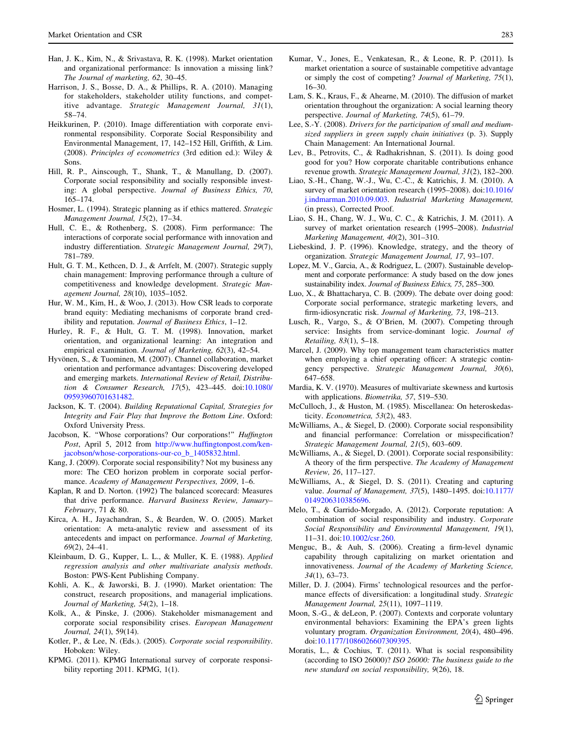- <span id="page-14-0"></span>Han, J. K., Kim, N., & Srivastava, R. K. (1998). Market orientation and organizational performance: Is innovation a missing link? The Journal of marketing, 62, 30–45.
- Harrison, J. S., Bosse, D. A., & Phillips, R. A. (2010). Managing for stakeholders, stakeholder utility functions, and competitive advantage. Strategic Management Journal, 31(1), 58–74.
- Heikkurinen, P. (2010). Image differentiation with corporate environmental responsibility. Corporate Social Responsibility and Environmental Management, 17, 142–152 Hill, Griffith, & Lim. (2008). Principles of econometrics (3rd edition ed.): Wiley & Sons.
- Hill, R. P., Ainscough, T., Shank, T., & Manullang, D. (2007). Corporate social responsibility and socially responsible investing: A global perspective. Journal of Business Ethics, 70, 165–174.
- Hosmer, L. (1994). Strategic planning as if ethics mattered. Strategic Management Journal, 15(2), 17–34.
- Hull, C. E., & Rothenberg, S. (2008). Firm performance: The interactions of corporate social performance with innovation and industry differentiation. Strategic Management Journal, 29(7), 781–789.
- Hult, G. T. M., Kethcen, D. J., & Arrfelt, M. (2007). Strategic supply chain management: Improving performance through a culture of competitiveness and knowledge development. Strategic Management Journal, 28(10), 1035–1052.
- Hur, W. M., Kim, H., & Woo, J. (2013). How CSR leads to corporate brand equity: Mediating mechanisms of corporate brand credibility and reputation. Journal of Business Ethics, 1–12.
- Hurley, R. F., & Hult, G. T. M. (1998). Innovation, market orientation, and organizational learning: An integration and empirical examination. Journal of Marketing, 62(3), 42–54.
- Hyvönen, S., & Tuominen, M. (2007). Channel collaboration, market orientation and performance advantages: Discovering developed and emerging markets. International Review of Retail, Distribution & Consumer Research, 17(5), 423–445. doi[:10.1080/](http://dx.doi.org/10.1080/09593960701631482) [09593960701631482](http://dx.doi.org/10.1080/09593960701631482).
- Jackson, K. T. (2004). Building Reputational Capital, Strategies for Integrity and Fair Play that Improve the Bottom Line. Oxford: Oxford University Press.
- Jacobson, K. ''Whose corporations? Our corporations!'' Huffington Post, April 5, 2012 from [http://www.huffingtonpost.com/ken](http://www.huffingtonpost.com/ken-jacobson/whose-corporations-our-co_b_1405832.html)[jacobson/whose-corporations-our-co\\_b\\_1405832.html.](http://www.huffingtonpost.com/ken-jacobson/whose-corporations-our-co_b_1405832.html)
- Kang, J. (2009). Corporate social responsibility? Not my business any more: The CEO horizon problem in corporate social performance. Academy of Management Perspectives, 2009, 1–6.
- Kaplan, R and D. Norton. (1992) The balanced scorecard: Measures that drive performance. Harvard Business Review, January-February, 71 & 80.
- Kirca, A. H., Jayachandran, S., & Bearden, W. O. (2005). Market orientation: A meta-analytic review and assessment of its antecedents and impact on performance. Journal of Marketing, 69(2), 24–41.
- Kleinbaum, D. G., Kupper, L. L., & Muller, K. E. (1988). Applied regression analysis and other multivariate analysis methods. Boston: PWS-Kent Publishing Company.
- Kohli, A. K., & Jaworski, B. J. (1990). Market orientation: The construct, research propositions, and managerial implications. Journal of Marketing, 54(2), 1–18.
- Kolk, A., & Pinske, J. (2006). Stakeholder mismanagement and corporate social responsibility crises. European Management Journal, 24(1), 59(14).
- Kotler, P., & Lee, N. (Eds.). (2005). Corporate social responsibility. Hoboken: Wiley.
- KPMG. (2011). KPMG International survey of corporate responsibility reporting 2011. KPMG, 1(1).
- Kumar, V., Jones, E., Venkatesan, R., & Leone, R. P. (2011). Is market orientation a source of sustainable competitive advantage or simply the cost of competing? Journal of Marketing, 75(1), 16–30.
- Lam, S. K., Kraus, F., & Ahearne, M. (2010). The diffusion of market orientation throughout the organization: A social learning theory perspective. Journal of Marketing, 74(5), 61–79.
- Lee, S.-Y. (2008). Drivers for the participation of small and mediumsized suppliers in green supply chain initiatives (p. 3). Supply Chain Management: An International Journal.
- Lev, B., Petrovits, C., & Radhakrishnan, S. (2011). Is doing good good for you? How corporate charitable contributions enhance revenue growth. Strategic Management Journal, 31(2), 182–200.
- Liao, S.-H., Chang, W.-J., Wu, C.-C., & Katrichis, J. M. (2010). A survey of market orientation research (1995–2008). doi[:10.1016/](http://dx.doi.org/10.1016/j.indmarman.2010.09.003) [j.indmarman.2010.09.003.](http://dx.doi.org/10.1016/j.indmarman.2010.09.003) Industrial Marketing Management, (in press), Corrected Proof.
- Liao, S. H., Chang, W. J., Wu, C. C., & Katrichis, J. M. (2011). A survey of market orientation research (1995–2008). Industrial Marketing Management, 40(2), 301–310.
- Liebeskind, J. P. (1996). Knowledge, strategy, and the theory of organization. Strategic Management Journal, 17, 93–107.
- Lopez, M. V., Garcia, A., & Rodriguez, L. (2007). Sustainable development and corporate performance: A study based on the dow jones sustainability index. Journal of Business Ethics, 75, 285–300.
- Luo, X., & Bhattacharya, C. B. (2009). The debate over doing good: Corporate social performance, strategic marketing levers, and firm-idiosyncratic risk. Journal of Marketing, 73, 198–213.
- Lusch, R., Vargo, S., & O'Brien, M. (2007). Competing through service: Insights from service-dominant logic. Journal of Retailing, 83(1), 5–18.
- Marcel, J. (2009). Why top management team characteristics matter when employing a chief operating officer: A strategic contingency perspective. Strategic Management Journal, 30(6), 647–658.
- Mardia, K. V. (1970). Measures of multivariate skewness and kurtosis with applications. Biometrika, 57, 519–530.
- McCulloch, J., & Huston, M. (1985). Miscellanea: On heteroskedasticity. Econometrica, 53(2), 483.
- McWilliams, A., & Siegel, D. (2000). Corporate social responsibility and financial performance: Correlation or misspecification? Strategic Management Journal, 21(5), 603–609.
- McWilliams, A., & Siegel, D. (2001). Corporate social responsibility: A theory of the firm perspective. The Academy of Management Review, 26, 117–127.
- McWilliams, A., & Siegel, D. S. (2011). Creating and capturing value. Journal of Management, 37(5), 1480–1495. doi[:10.1177/](http://dx.doi.org/10.1177/0149206310385696) [0149206310385696.](http://dx.doi.org/10.1177/0149206310385696)
- Melo, T., & Garrido-Morgado, A. (2012). Corporate reputation: A combination of social responsibility and industry. Corporate Social Responsibility and Environmental Management, 19(1), 11–31. doi[:10.1002/csr.260](http://dx.doi.org/10.1002/csr.260).
- Menguc, B., & Auh, S. (2006). Creating a firm-level dynamic capability through capitalizing on market orientation and innovativeness. Journal of the Academy of Marketing Science, 34(1), 63–73.
- Miller, D. J. (2004). Firms' technological resources and the performance effects of diversification: a longitudinal study. Strategic Management Journal, 25(11), 1097–1119.
- Moon, S.-G., & deLeon, P. (2007). Contexts and corporate voluntary environmental behaviors: Examining the EPA's green lights voluntary program. Organization Environment, 20(4), 480–496. doi[:10.1177/1086026607309395](http://dx.doi.org/10.1177/1086026607309395).
- Moratis, L., & Cochius, T. (2011). What is social responsibility (according to ISO 26000)? ISO 26000: The business guide to the new standard on social responsibility, 9(26), 18.